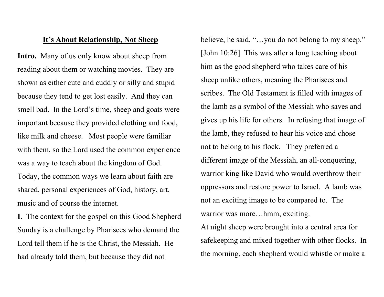## It's About Relationship, Not Sheep

Intro. Many of us only know about sheep from reading about them or watching movies. They are shown as either cute and cuddly or silly and stupid because they tend to get lost easily. And they can smell bad. In the Lord's time, sheep and goats were important because they provided clothing and food, like milk and cheese. Most people were familiar with them, so the Lord used the common experience was a way to teach about the kingdom of God. Today, the common ways we learn about faith are shared, personal experiences of God, history, art, music and of course the internet.

I. The context for the gospel on this Good Shepherd Sunday is a challenge by Pharisees who demand the Lord tell them if he is the Christ, the Messiah. He had already told them, but because they did not

believe, he said, "...you do not belong to my sheep." [John 10:26] This was after a long teaching about him as the good shepherd who takes care of his sheep unlike others, meaning the Pharisees and scribes. The Old Testament is filled with images of the lamb as a symbol of the Messiah who saves and gives up his life for others. In refusing that image of the lamb, they refused to hear his voice and chose not to belong to his flock. They preferred a different image of the Messiah, an all-conquering, warrior king like David who would overthrow their oppressors and restore power to Israel. A lamb was not an exciting image to be compared to. The warrior was more…hmm, exciting.

At night sheep were brought into a central area for safekeeping and mixed together with other flocks. In the morning, each shepherd would whistle or make a